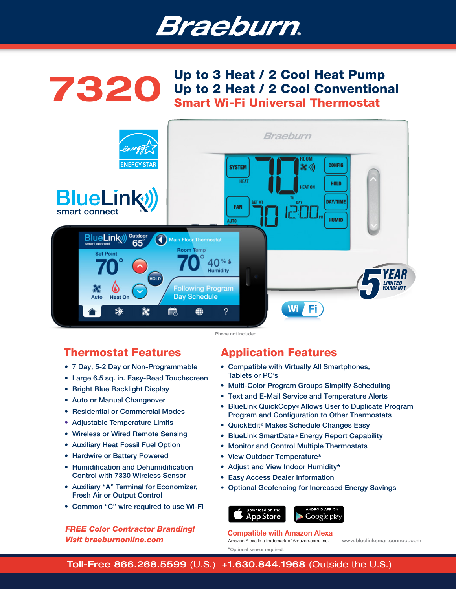# Braeburn.



**7320** Up to 3 Heat / 2 Cool Heat Pump<br>Up to 2 Heat / 2 Cool Convention Up to 2 Heat / 2 Cool Conventional Smart Wi-Fi Universal Thermostat



# Thermostat Features

- 7 Day, 5-2 Day or Non-Programmable
- Large 6.5 sq. in. Easy-Read Touchscreen
- Bright Blue Backlight Display
- Auto or Manual Changeover
- Residential or Commercial Modes
- Adjustable Temperature Limits
- Wireless or Wired Remote Sensing
- Auxiliary Heat Fossil Fuel Option
- Hardwire or Battery Powered
- Humidification and Dehumidification Control with 7330 Wireless Sensor
- Auxiliary "A" Terminal for Economizer, Fresh Air or Output Control
- Common "C" wire required to use Wi-Fi

# *FREE Color Contractor Branding! Visit braeburnonline.com*

# Application Features

- Compatible with Virtually All Smartphones, Tablets or PC's
- Multi-Color Program Groups Simplify Scheduling
- Text and E-Mail Service and Temperature Alerts
- BlueLink QuickCopy<sup>®</sup> Allows User to Duplicate Program Program and Configuration to Other Thermostats
- QuickEdit<sup>®</sup> Makes Schedule Changes Easy
- BlueLink SmartData<sup>®</sup> Energy Report Capability
- Monitor and Control Multiple Thermostats
- View Outdoor Temperature\*
- Adjust and View Indoor Humidity\*
- Easy Access Dealer Information
- Optional Geofencing for Increased Energy Savings



### Amazon Alexa is a trademark of Amazon.com, Inc. www.bluelinksmartconnect.com Compatible with Amazon Alexa

\*Optional sensor required.